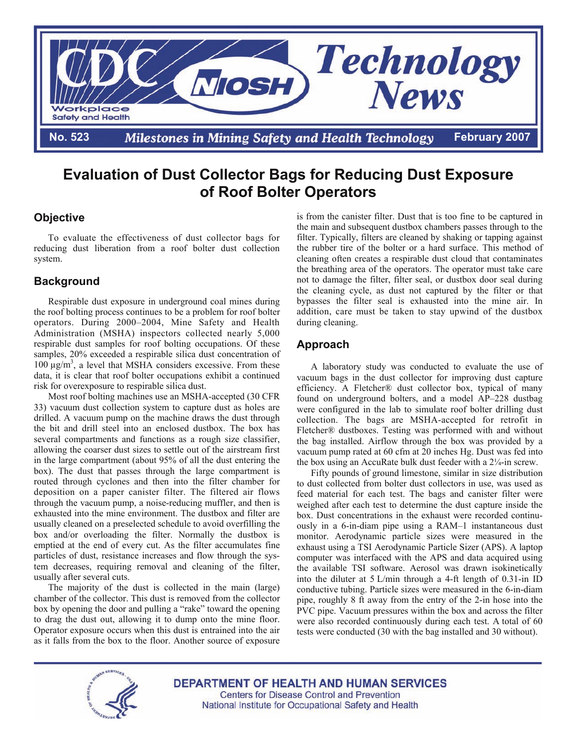

# **Evaluation of Dust Collector Bags for Reducing Dust Exposure of Roof Bolter Operators**

## **Objective**

To evaluate the effectiveness of dust collector bags for reducing dust liberation from a roof bolter dust collection system.

### **Background**

Respirable dust exposure in underground coal mines during the roof bolting process continues to be a problem for roof bolter operators. During 2000–2004, Mine Safety and Health Administration (MSHA) inspectors collected nearly 5,000 respirable dust samples for roof bolting occupations. Of these samples, 20% exceeded a respirable silica dust concentration of  $100 \mu g/m<sup>3</sup>$ , a level that MSHA considers excessive. From these data, it is clear that roof bolter occupations exhibit a continued risk for overexposure to respirable silica dust.

 Most roof bolting machines use an MSHA-accepted (30 CFR 33) vacuum dust collection system to capture dust as holes are drilled. A vacuum pump on the machine draws the dust through the bit and drill steel into an enclosed dustbox. The box has several compartments and functions as a rough size classifier, allowing the coarser dust sizes to settle out of the airstream first in the large compartment (about 95% of all the dust entering the box). The dust that passes through the large compartment is routed through cyclones and then into the filter chamber for deposition on a paper canister filter. The filtered air flows through the vacuum pump, a noise-reducing muffler, and then is exhausted into the mine environment. The dustbox and filter are usually cleaned on a preselected schedule to avoid overfilling the box and/or overloading the filter. Normally the dustbox is emptied at the end of every cut. As the filter accumulates fine particles of dust, resistance increases and flow through the system decreases, requiring removal and cleaning of the filter, usually after several cuts.

 The majority of the dust is collected in the main (large) chamber of the collector. This dust is removed from the collector box by opening the door and pulling a "rake" toward the opening to drag the dust out, allowing it to dump onto the mine floor. Operator exposure occurs when this dust is entrained into the air as it falls from the box to the floor. Another source of exposure is from the canister filter. Dust that is too fine to be captured in the main and subsequent dustbox chambers passes through to the filter. Typically, filters are cleaned by shaking or tapping against the rubber tire of the bolter or a hard surface. This method of cleaning often creates a respirable dust cloud that contaminates the breathing area of the operators. The operator must take care not to damage the filter, filter seal, or dustbox door seal during the cleaning cycle, as dust not captured by the filter or that bypasses the filter seal is exhausted into the mine air. In addition, care must be taken to stay upwind of the dustbox during cleaning.

## **Approach**

A laboratory study was conducted to evaluate the use of vacuum bags in the dust collector for improving dust capture efficiency. A Fletcher® dust collector box, typical of many found on underground bolters, and a model AP–228 dustbag were configured in the lab to simulate roof bolter drilling dust collection. The bags are MSHA-accepted for retrofit in Fletcher® dustboxes. Testing was performed with and without the bag installed. Airflow through the box was provided by a vacuum pump rated at 60 cfm at 20 inches Hg. Dust was fed into the box using an AccuRate bulk dust feeder with a 2¼-in screw.

Fifty pounds of ground limestone, similar in size distribution to dust collected from bolter dust collectors in use, was used as feed material for each test. The bags and canister filter were weighed after each test to determine the dust capture inside the box. Dust concentrations in the exhaust were recorded continuously in a 6-in-diam pipe using a RAM–1 instantaneous dust monitor. Aerodynamic particle sizes were measured in the exhaust using a TSI Aerodynamic Particle Sizer (APS). A laptop computer was interfaced with the APS and data acquired using the available TSI software. Aerosol was drawn isokinetically into the diluter at 5 L/min through a 4-ft length of 0.31-in ID conductive tubing. Particle sizes were measured in the 6-in-diam pipe, roughly 8 ft away from the entry of the 2-in hose into the PVC pipe. Vacuum pressures within the box and across the filter were also recorded continuously during each test. A total of 60 tests were conducted (30 with the bag installed and 30 without).



**DEPARTMENT OF HEALTH AND HUMAN SERVICES Centers for Disease Control and Prevention** National Institute for Occupational Safety and Health